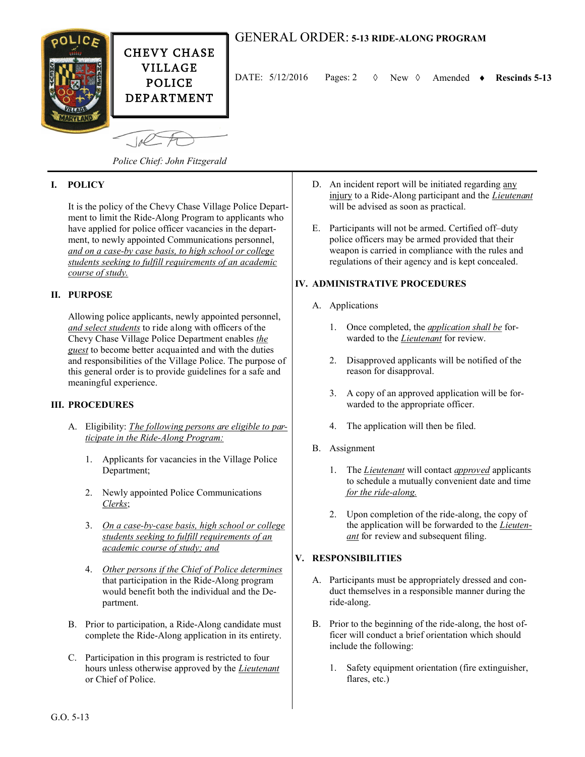

# GENERAL ORDER: **5-13 RIDE-ALONG PROGRAM**

DATE:  $5/12/2016$  Pages: 2  $\Diamond$  New  $\Diamond$  Amended  $\bullet$  Rescinds 5-13

*Police Chief: John Fitzgerald*

# **I. POLICY**

It is the policy of the Chevy Chase Village Police Department to limit the Ride-Along Program to applicants who have applied for police officer vacancies in the department, to newly appointed Communications personnel, *and on a case-by case basis, to high school or college students seeking to fulfill requirements of an academic course of study.*

### **II. PURPOSE**

Allowing police applicants, newly appointed personnel, *and select students* to ride along with officers of the Chevy Chase Village Police Department enables *the guest* to become better acquainted and with the duties and responsibilities of the Village Police. The purpose of this general order is to provide guidelines for a safe and meaningful experience.

#### **III. PROCEDURES**

- A. Eligibility: *The following persons are eligible to participate in the Ride-Along Program:*
	- 1. Applicants for vacancies in the Village Police Department;
	- 2. Newly appointed Police Communications *Clerks*;
	- 3. *On a case-by-case basis, high school or college students seeking to fulfill requirements of an academic course of study; and*
	- 4. *Other persons if the Chief of Police determines*  that participation in the Ride-Along program would benefit both the individual and the Department.
- B. Prior to participation, a Ride-Along candidate must complete the Ride-Along application in its entirety.
- C. Participation in this program is restricted to four hours unless otherwise approved by the *Lieutenant* or Chief of Police.
- D. An incident report will be initiated regarding any injury to a Ride-Along participant and the *Lieutenant* will be advised as soon as practical.
- E. Participants will not be armed. Certified off–duty police officers may be armed provided that their weapon is carried in compliance with the rules and regulations of their agency and is kept concealed.

# **IV. ADMINISTRATIVE PROCEDURES**

- A. Applications
	- 1. Once completed, the *application shall be* forwarded to the *Lieutenant* for review.
	- 2. Disapproved applicants will be notified of the reason for disapproval.
	- 3. A copy of an approved application will be forwarded to the appropriate officer.
	- 4. The application will then be filed.
- B. Assignment
	- 1. The *Lieutenant* will contact *approved* applicants to schedule a mutually convenient date and time *for the ride-along.*
	- 2. Upon completion of the ride-along, the copy of the application will be forwarded to the *Lieutenant* for review and subsequent filing.

### **V. RESPONSIBILITIES**

- A. Participants must be appropriately dressed and conduct themselves in a responsible manner during the ride-along.
- B. Prior to the beginning of the ride-along, the host officer will conduct a brief orientation which should include the following:
	- 1. Safety equipment orientation (fire extinguisher, flares, etc.)